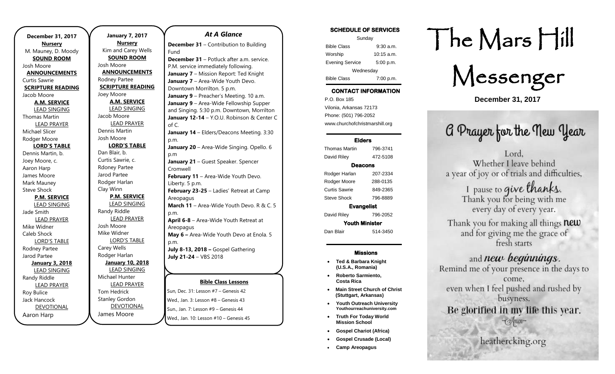| <b>December 31, 2017</b> |
|--------------------------|
| <b>Nursery</b>           |
| M. Mauney, D. Moody      |
| <b>SOUND ROOM</b>        |
| Josh Moore               |
| <b>ANNOUNCEMENTS</b>     |
| <b>Curtis Sawrie</b>     |
| <b>SCRIPTURE READING</b> |
| Jacob Moore              |
| <b>A.M. SERVICE</b>      |
| <b>LEAD SINGING</b>      |
| Thomas Martin            |
| <b>LEAD PRAYER</b>       |
| Michael Slicer           |
| Rodger Moore             |
| <b>LORD'S TABLE</b>      |
| Dennis Martin, b.        |
| Joey Moore, c.           |
| Aaron Harp               |
| James Moore              |
| Mark Mauney              |
| <b>Steve Shock</b>       |
| <b>P.M. SERVICE</b>      |
| <b>LEAD SINGING</b>      |
| Jade Smith               |
| <b>LEAD PRAYER</b>       |
| Mike Widner              |
| Caleb Shock              |
| <b>LORD'S TABLE</b>      |
| Rodney Partee            |
| Jarod Partee             |
| <b>January 3, 2018</b>   |
| <b>LEAD SINGING</b>      |
| Randy Riddle             |
| <b>LEAD PRAYER</b>       |
| Roy Bulice               |
| Jack Hancock             |
| <b>DEVOTIONAL</b>        |
| Aaron Harp               |

**January 7, 2017 Nursery** Kim and Carey Wells **SOUND ROOM** Josh Moore **ANNOUNCEMENTS** Rodney Partee **SCRIPTURE READING** Joey Moore **A.M. SERVICE** LEAD SINGING Jacob Moore LEAD PRAYER Dennis Martin Josh Moore **LORD'S TABLE** Dan Blair, b. Curtis Sawrie, c. Rdoney Partee Jarod Partee Rodger Harlan Clay Winn **P.M. SERVICE** LEAD SINGING Randy Riddle LEAD PRAYER Josh Moore Mike Widner LORD'S TABLE Carey Wells Rodger Harlan **January 10, 2018** LEAD SINGING Michael Hunter LEAD PRAYER Tom Hedrick Stanley Gordon DEVOTIONAL James Moore

### *At A Glance*

**December 31** – Contribution to Building Fund

**December 31** – Potluck after a.m. service. P.M. service immediately following. **January 7** – Mission Report: Ted Knight **January 7** – Area-Wide Youth Devo. Downtown Morrilton. 5 p.m. **January 9** – Preacher's Meeting. 10 a.m. **January 9** – Area-Wide Fellowship Supper and Singing. 5:30 p.m. Downtown, Morrilton **January 12-14** – Y.O.U. Robinson & Center C of C. **January 14** – Elders/Deacons Meeting. 3:30 p.m. January 20 - Area-Wide Singing. Opello. 6 p.m **January 21** – Guest Speaker. Spencer Cromwell **February 11 - Area-Wide Youth Devo.** Liberty. 5 p.m. **February 23-25** – Ladies' Retreat at Camp Areopagus **March 11** – Area-Wide Youth Devo. R & C. 5 p.m. **April 6-8** – Area-Wide Youth Retreat at Areopagus **May 6 –** Area-Wide Youth Devo at Enola. 5 p.m. **July 8-13, 2018 –** Gospel Gathering **July 21-24** – VBS 2018

### **Bible Class Lessons**

Sun, Dec. 31: Lesson #7 – Genesis 42 Wed., Jan. 3: Lesson #8 – Genesis 43 Sun., Jan. 7: Lesson #9 – Genesis 44 Wed., Jan. 10: Lesson #10 – Genesis 45

## SCHEDULE OF SERVICES Sunday Bible Class 9:30 a.m. Worship 10:15 a.m. Evening Service 5:00 p.m. Wednesday Bible Class 7:00 p.m.

## CONTACT INFORMATION

. .o. Box 166<br>Vilonia, Arkansas 72173 P.O. Box 185 Phone: (501) 796-2052 www.churchofchristmarshill.org

### Elders

Thomas Martin 796-3741 David Riley 472-5108 Deacons Rodger Harlan 207-2334 Rodger Moore 288-0135 Curtis Sawrie 849-2365 Steve Shock 796-8889 Evangelist David Riley 796-2052

Youth Minister Dan Blair 514-3450

#### Missions

- **Ted & Barbara Knight (U.S.A., Romania)**
- **Roberto Sarmiento, Costa Rica**
- **Main Street Church of Christ (Stuttgart, Arkansas)**
- **Youth Outreach University Youthourreachuniversity.com**
- **Truth For Today World Mission School**
- **Gospel Chariot (Africa)**
- **Gospel Crusade (Local)**
- **Camp Areopagus**

# The Mars Hill

Messenger

**December 31, 2017**

## G Prayer for the New Year

Lord. Whether I leave behind a year of joy or of trials and difficulties,

I pause to give thanks. Thank you for being with me every day of every year.

Thank you for making all things **new** and for giving me the grace of fresh starts

## and *new beginnings*.

Remind me of your presence in the days to come. even when I feel pushed and rushed by busyness. Be glorified in my life this year. 

heathercking.org